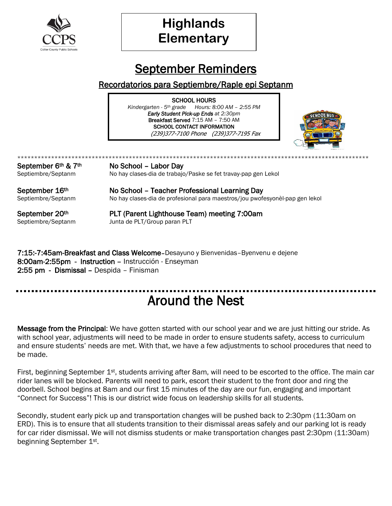

# **Highlands Elementary**

### September Reminders

#### Recordatorios para Septiembre/Raple epi Septanm

SCHOOL HOURS *Kindergarten - 5th grade Hours: 8:00 AM – 2:55 PM Early Student Pick-up Ends at 2:30pm* Breakfast Served 7:15 AM – 7:50 AM SCHOOL CONTACT INFORMATION (239)377-7100 Phone (239)377-7195 Fax



\*\*\*\*\*\*\*\*\*\*\*\*\*\*\*\*\*\*\*\*\*\*\*\*\*\*\*\*\*\*\*\*\*\*\*\*\*\*\*\*\*\*\*\*\*\*\*\*\*\*\*\*\*\*\*\*\*\*\*\*\*\*\*\*\*\*\*\*\*\*\*\*\*\*\*\*\*\*\*\*\*\*[\\*\\*\\*\\*\\*\\*\\*\\*\\*\\*](http://theinappropriatehomeschooler.blogspot.com/2014/08/school-year-20142015-is-here.html)\*\*\*\*\*\*\*\*\*\*\*\* September  $6<sup>th</sup>$  &  $7<sup>th</sup>$  No School – Labor Day Septiembre/Septanm No hay clases-dia de trabajo/Paske se fet travay-pap gen Lekol

September 16<sup>th</sup> No School – Teacher Professional Learning Day Septiembre/Septanm No hay clases-dia de profesional para maestros/jou pwofesyonèl-pap gen lekol

September 20th PLT (Parent Lighthouse Team) meeting 7:00am Septiembre/Septanm Junta de PLT/Group paran PLT

7:15:-7:45am-Breakfast and Class Welcome–Desayuno y Bienvenidas–Byenvenu e dejene 8:00am-2:55pm - Instruction – Instrucción - Enseyman 2:55 pm - Dismissal – Despida – Finisman

#### -----------------Around the Nest

Message from the Principal: We have gotten started with our school year and we are just hitting our stride. As with school year, adjustments will need to be made in order to ensure students safety, access to curriculum and ensure students' needs are met. With that, we have a few adjustments to school procedures that need to be made.

First, beginning September 1<sup>st</sup>, students arriving after 8am, will need to be escorted to the office. The main car rider lanes will be blocked. Parents will need to park, escort their student to the front door and ring the doorbell. School begins at 8am and our first 15 minutes of the day are our fun, engaging and important "Connect for Success"! This is our district wide focus on leadership skills for all students.

Secondly, student early pick up and transportation changes will be pushed back to 2:30pm (11:30am on ERD). This is to ensure that all students transition to their dismissal areas safely and our parking lot is ready for car rider dismissal. We will not dismiss students or make transportation changes past 2:30pm (11:30am) beginning September 1st.